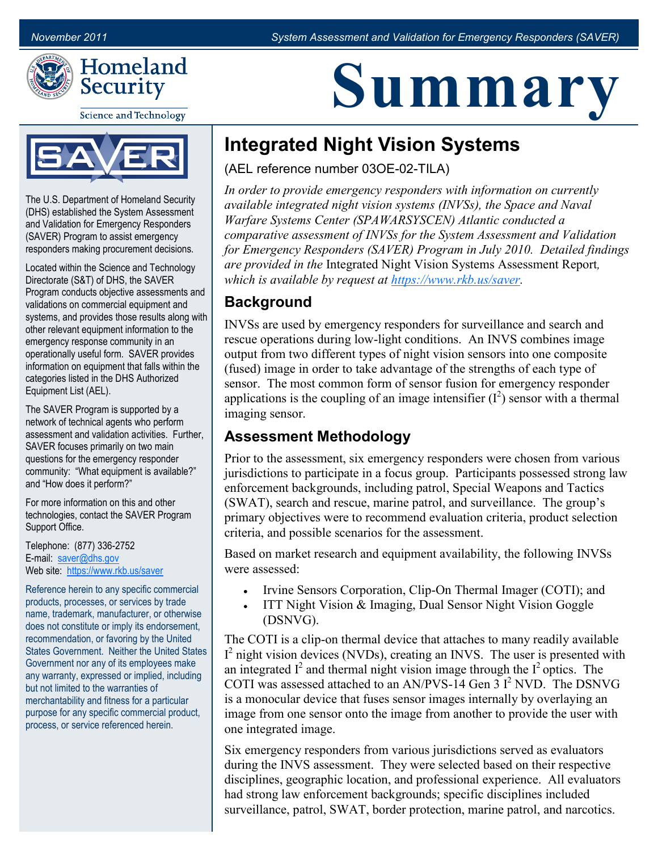

**Science and Technology** 



The U.S. Department of Homeland Security (DHS) established the System Assessment and Validation for Emergency Responders (SAVER) Program to assist emergency responders making procurement decisions.

Located within the Science and Technology Directorate (S&T) of DHS, the SAVER Program conducts objective assessments and validations on commercial equipment and systems, and provides those results along with other relevant equipment information to the emergency response community in an operationally useful form. SAVER provides information on equipment that falls within the categories listed in the DHS Authorized Equipment List (AEL).

The SAVER Program is supported by a network of technical agents who perform assessment and validation activities. Further, SAVER focuses primarily on two main questions for the emergency responder community: "What equipment is available?" and "How does it perform?"

For more information on this and other technologies, contact the SAVER Program Support Office.

Telephone: (877) 336-2752 E-mail: [saver@dhs.gov](mailto:SAVER@dhs.gov) Web site: <https://www.rkb.us/saver>

Reference herein to any specific commercial products, processes, or services by trade name, trademark, manufacturer, or otherwise does not constitute or imply its endorsement, recommendation, or favoring by the United States Government. Neither the United States Government nor any of its employees make any warranty, expressed or implied, including but not limited to the warranties of merchantability and fitness for a particular purpose for any specific commercial product, process, or service referenced herein.

# **Summary**

## **Integrated Night Vision Systems**

(AEL reference number 03OE-02-TILA)

*In order to provide emergency responders with information on currently available integrated night vision systems (INVSs), the Space and Naval Warfare Systems Center (SPAWARSYSCEN) Atlantic conducted a comparative assessment of INVSs for the System Assessment and Validation for Emergency Responders (SAVER) Program in July 2010. Detailed findings are provided in the* Integrated Night Vision Systems Assessment Report*, which is available by request at [https://www.rkb.us/saver.](https://www.rkb.us/saver)*

### **Background**

INVSs are used by emergency responders for surveillance and search and rescue operations during low-light conditions. An INVS combines image output from two different types of night vision sensors into one composite (fused) image in order to take advantage of the strengths of each type of sensor. The most common form of sensor fusion for emergency responder applications is the coupling of an image intensifier  $(I^2)$  sensor with a thermal imaging sensor.

#### **Assessment Methodology**

Prior to the assessment, six emergency responders were chosen from various jurisdictions to participate in a focus group. Participants possessed strong law enforcement backgrounds, including patrol, Special Weapons and Tactics (SWAT), search and rescue, marine patrol, and surveillance. The group's primary objectives were to recommend evaluation criteria, product selection criteria, and possible scenarios for the assessment.

Based on market research and equipment availability, the following INVSs were assessed:

- Irvine Sensors Corporation, Clip-On Thermal Imager (COTI); and
- ITT Night Vision & Imaging, Dual Sensor Night Vision Goggle (DSNVG).

The COTI is a clip-on thermal device that attaches to many readily available  $I<sup>2</sup>$  night vision devices (NVDs), creating an INVS. The user is presented with an integrated  $I^2$  and thermal night vision image through the  $I^2$  optics. The COTI was assessed attached to an AN/PVS-14 Gen  $3I<sup>2</sup> NVD$ . The DSNVG is a monocular device that fuses sensor images internally by overlaying an image from one sensor onto the image from another to provide the user with one integrated image.

Six emergency responders from various jurisdictions served as evaluators during the INVS assessment. They were selected based on their respective disciplines, geographic location, and professional experience. All evaluators had strong law enforcement backgrounds; specific disciplines included surveillance, patrol, SWAT, border protection, marine patrol, and narcotics.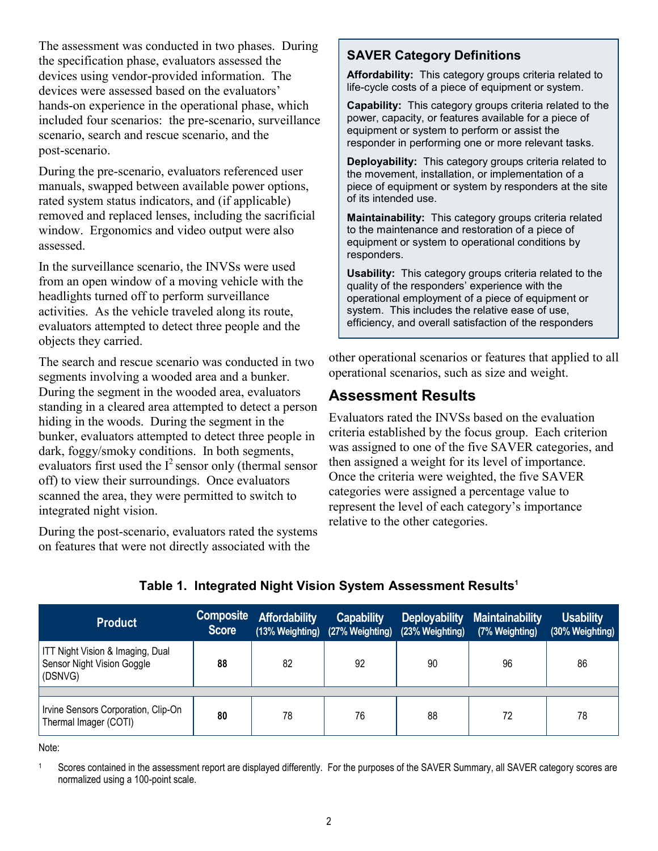The assessment was conducted in two phases. During the specification phase, evaluators assessed the devices using vendor-provided information. The devices were assessed based on the evaluators' hands-on experience in the operational phase, which included four scenarios: the pre-scenario, surveillance scenario, search and rescue scenario, and the post-scenario.

During the pre-scenario, evaluators referenced user manuals, swapped between available power options, rated system status indicators, and (if applicable) removed and replaced lenses, including the sacrificial window. Ergonomics and video output were also assessed.

In the surveillance scenario, the INVSs were used from an open window of a moving vehicle with the headlights turned off to perform surveillance activities. As the vehicle traveled along its route, evaluators attempted to detect three people and the objects they carried.

The search and rescue scenario was conducted in two segments involving a wooded area and a bunker. During the segment in the wooded area, evaluators standing in a cleared area attempted to detect a person hiding in the woods. During the segment in the bunker, evaluators attempted to detect three people in dark, foggy/smoky conditions. In both segments, evaluators first used the  $I^2$  sensor only (thermal sensor off) to view their surroundings. Once evaluators scanned the area, they were permitted to switch to integrated night vision.

During the post-scenario, evaluators rated the systems on features that were not directly associated with the

#### **SAVER Category Definitions**

**Affordability:** This category groups criteria related to life-cycle costs of a piece of equipment or system.

**Capability:** This category groups criteria related to the power, capacity, or features available for a piece of equipment or system to perform or assist the responder in performing one or more relevant tasks.

**Deployability:** This category groups criteria related to the movement, installation, or implementation of a piece of equipment or system by responders at the site of its intended use.

**Maintainability:** This category groups criteria related to the maintenance and restoration of a piece of equipment or system to operational conditions by responders.

**Usability:** This category groups criteria related to the quality of the responders' experience with the operational employment of a piece of equipment or system. This includes the relative ease of use, efficiency, and overall satisfaction of the responders

other operational scenarios or features that applied to all operational scenarios, such as size and weight.

#### **Assessment Results**

Evaluators rated the INVSs based on the evaluation criteria established by the focus group. Each criterion was assigned to one of the five SAVER categories, and then assigned a weight for its level of importance. Once the criteria were weighted, the five SAVER categories were assigned a percentage value to represent the level of each category's importance relative to the other categories.

|  |  | Table 1. Integrated Night Vision System Assessment Results <sup>1</sup> |  |
|--|--|-------------------------------------------------------------------------|--|
|  |  |                                                                         |  |

| <b>Product</b>                                                            | <b>Composite</b><br><b>Score</b> | <b>Affordability</b> | <b>Capability</b><br>(13% Weighting) (27% Weighting) | <b>Deployability</b><br>(23% Weighting) | <b>Maintainability</b><br>(7% Weighting) | <b>Usability</b><br>(30% Weighting) |
|---------------------------------------------------------------------------|----------------------------------|----------------------|------------------------------------------------------|-----------------------------------------|------------------------------------------|-------------------------------------|
| ITT Night Vision & Imaging, Dual<br>Sensor Night Vision Goggle<br>(DSNVG) | 88                               | 82                   | 92                                                   | 90                                      | 96                                       | 86                                  |
| Irvine Sensors Corporation, Clip-On                                       | 80                               | 78                   | 76                                                   | 88                                      | 72                                       | 78                                  |
| Thermal Imager (COTI)                                                     |                                  |                      |                                                      |                                         |                                          |                                     |

Note:

<sup>1</sup> Scores contained in the assessment report are displayed differently. For the purposes of the SAVER Summary, all SAVER category scores are normalized using a 100-point scale.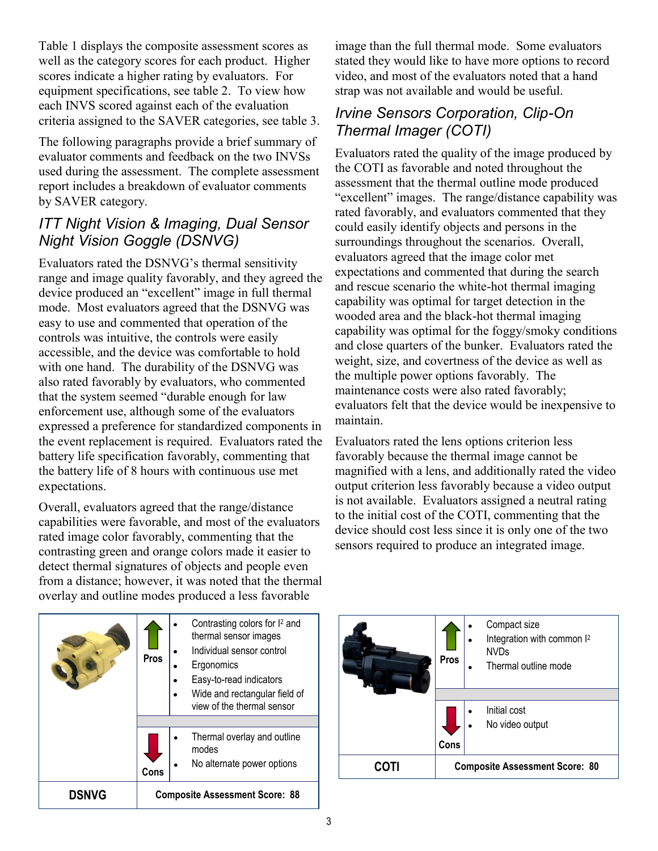Table 1 displays the composite assessment scores as well as the category scores for each product. Higher scores indicate a higher rating by evaluators. For equipment specifications, see table 2. To view how each INVS scored against each of the evaluation criteria assigned to the SAVER categories, see table 3.

The following paragraphs provide a brief summary of evaluator comments and feedback on the two INVSs used during the assessment. The complete assessment report includes a breakdown of evaluator comments by SAVER category.

#### *ITT Night Vision & Imaging, Dual Sensor Night Vision Goggle (DSNVG)*

Evaluators rated the DSNVG's thermal sensitivity range and image quality favorably, and they agreed the device produced an "excellent" image in full thermal mode. Most evaluators agreed that the DSNVG was easy to use and commented that operation of the controls was intuitive, the controls were easily accessible, and the device was comfortable to hold with one hand. The durability of the DSNVG was also rated favorably by evaluators, who commented that the system seemed "durable enough for law enforcement use, although some of the evaluators expressed a preference for standardized components in the event replacement is required. Evaluators rated the battery life specification favorably, commenting that the battery life of 8 hours with continuous use met expectations.

Overall, evaluators agreed that the range/distance capabilities were favorable, and most of the evaluators rated image color favorably, commenting that the contrasting green and orange colors made it easier to detect thermal signatures of objects and people even from a distance; however, it was noted that the thermal overlay and outline modes produced a less favorable



image than the full thermal mode. Some evaluators stated they would like to have more options to record video, and most of the evaluators noted that a hand strap was not available and would be useful.

#### *Irvine Sensors Corporation, Clip-On Thermal Imager (COTI)*

Evaluators rated the quality of the image produced by the COTI as favorable and noted throughout the assessment that the thermal outline mode produced "excellent" images. The range/distance capability was rated favorably, and evaluators commented that they could easily identify objects and persons in the surroundings throughout the scenarios. Overall, evaluators agreed that the image color met expectations and commented that during the search and rescue scenario the white-hot thermal imaging capability was optimal for target detection in the wooded area and the black-hot thermal imaging capability was optimal for the foggy/smoky conditions and close quarters of the bunker. Evaluators rated the weight, size, and covertness of the device as well as the multiple power options favorably. The maintenance costs were also rated favorably; evaluators felt that the device would be inexpensive to maintain.

Evaluators rated the lens options criterion less favorably because the thermal image cannot be magnified with a lens, and additionally rated the video output criterion less favorably because a video output is not available. Evaluators assigned a neutral rating to the initial cost of the COTI, commenting that the device should cost less since it is only one of the two sensors required to produce an integrated image.

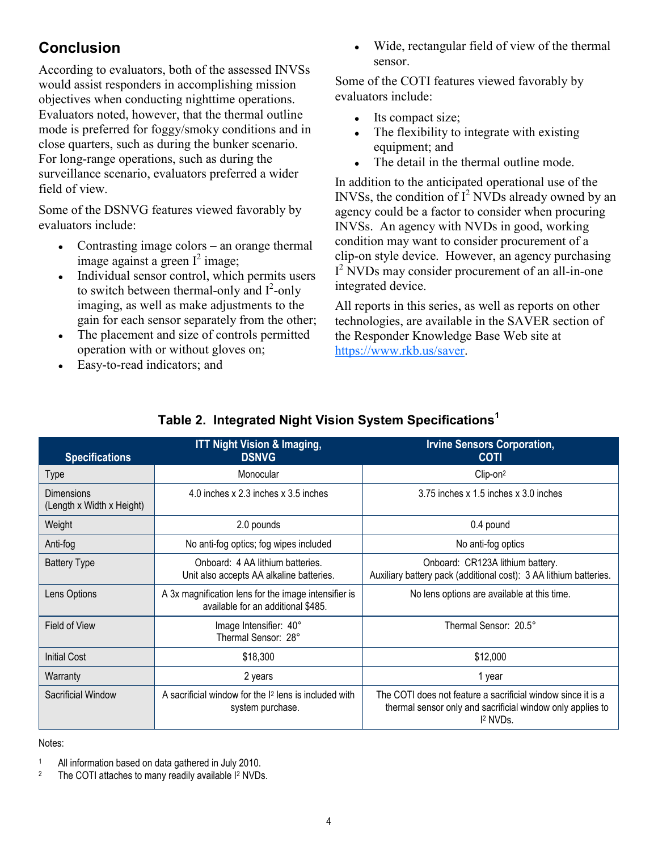## **Conclusion**

According to evaluators, both of the assessed INVSs would assist responders in accomplishing mission objectives when conducting nighttime operations. Evaluators noted, however, that the thermal outline mode is preferred for foggy/smoky conditions and in close quarters, such as during the bunker scenario. For long-range operations, such as during the surveillance scenario, evaluators preferred a wider field of view.

Some of the DSNVG features viewed favorably by evaluators include:

- Contrasting image colors an orange thermal image against a green  $I^2$  image;
- Individual sensor control, which permits users to switch between thermal-only and  $I^2$ -only imaging, as well as make adjustments to the gain for each sensor separately from the other;
- The placement and size of controls permitted operation with or without gloves on;
- Easy-to-read indicators; and

• Wide, rectangular field of view of the thermal sensor.

Some of the COTI features viewed favorably by evaluators include:

- Its compact size;
- $\bullet$  The flexibility to integrate with existing equipment; and
- The detail in the thermal outline mode.

In addition to the anticipated operational use of the INVSs, the condition of  $I^2$  NVDs already owned by an agency could be a factor to consider when procuring INVSs. An agency with NVDs in good, working condition may want to consider procurement of a clip-on style device. However, an agency purchasing I<sup>2</sup> NVDs may consider procurement of an all-in-one integrated device.

All reports in this series, as well as reports on other technologies, are available in the SAVER section of the Responder Knowledge Base Web site at [https://www.rkb.us/saver.](https://www.rkb.us/saver) 

| <b>Specifications</b>                   | <b>ITT Night Vision &amp; Imaging,</b><br><b>DSNVG</b>                                     | <b>Irvine Sensors Corporation,</b><br><b>COTI</b>                                                                                                |  |  |
|-----------------------------------------|--------------------------------------------------------------------------------------------|--------------------------------------------------------------------------------------------------------------------------------------------------|--|--|
| <b>Type</b>                             | Monocular                                                                                  | Clip-on <sup>2</sup>                                                                                                                             |  |  |
| Dimensions<br>(Length x Width x Height) | 4.0 inches x 2.3 inches x 3.5 inches                                                       | $3.75$ inches x $1.5$ inches x $3.0$ inches                                                                                                      |  |  |
| Weight                                  | 2.0 pounds                                                                                 | 0.4 pound                                                                                                                                        |  |  |
| Anti-fog                                | No anti-fog optics; fog wipes included                                                     | No anti-fog optics                                                                                                                               |  |  |
| <b>Battery Type</b>                     | Onboard: 4 AA lithium batteries.<br>Unit also accepts AA alkaline batteries.               | Onboard: CR123A lithium battery.<br>Auxiliary battery pack (additional cost): 3 AA lithium batteries.                                            |  |  |
| Lens Options                            | A 3x magnification lens for the image intensifier is<br>available for an additional \$485. | No lens options are available at this time.                                                                                                      |  |  |
| Field of View                           | Image Intensifier: 40°<br>Thermal Sensor: 28°                                              | Thermal Sensor: 20.5°                                                                                                                            |  |  |
| <b>Initial Cost</b>                     | \$18,300                                                                                   | \$12,000                                                                                                                                         |  |  |
| Warranty                                | 2 years                                                                                    | 1 year                                                                                                                                           |  |  |
| Sacrificial Window                      | A sacrificial window for the I <sup>2</sup> lens is included with<br>system purchase.      | The COTI does not feature a sacrificial window since it is a<br>thermal sensor only and sacrificial window only applies to<br><sup>2</sup> NVDs. |  |  |

#### **Table 2. Integrated Night Vision System Specifications<sup>1</sup>**

#### Notes:

- <sup>1</sup> All information based on data gathered in July 2010.
- 2 The COTI attaches to many readily available I<sup>2</sup> NVDs.